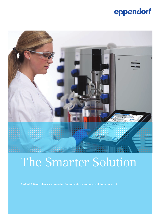## eppendorf



# The Smarter Solution

BioFlo® 320 – Universal controller for cell culture and microbiology research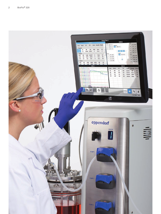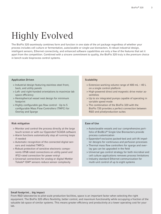# Highly Evolved

The BioFlo 320 seamlessly combines form and function in one state of the art package regardless of whether your process includes cell culture or fermentation, autoclavable or single-use bioreactors. A robust industrial design, intelligent sensors, Ethernet connectivity, and enhanced software capabilities are only a few of the features that set it apart from the competition. Combined with a sincere commitment to quality, the BioFlo 320 truly is the premium choice in bench-scale bioprocess control systems.

| <b>Application Driven</b>                                                                                                                                                                                                                                                                                                                                                                                                                                                                                                                | <b>Scalability</b>                                                                                                                                                                                                                                                                                                                                                                                                                                                                                                                                               |
|------------------------------------------------------------------------------------------------------------------------------------------------------------------------------------------------------------------------------------------------------------------------------------------------------------------------------------------------------------------------------------------------------------------------------------------------------------------------------------------------------------------------------------------|------------------------------------------------------------------------------------------------------------------------------------------------------------------------------------------------------------------------------------------------------------------------------------------------------------------------------------------------------------------------------------------------------------------------------------------------------------------------------------------------------------------------------------------------------------------|
| > Industrial design featuring stainless steel front,<br>back, and utility panels<br>> Left- and right-handed orientations to maximize lab<br>space efficiency<br>> Hemispherical vessel nest design for minimum<br>footprint<br>> Highly configurable gas flow control - Up to 5<br>configurable Mass Flow Controllers (TMFC) for<br>Overlay and Sparge                                                                                                                                                                                  | > Extensive working volume range of 400 mL - 40 L<br>on a single control platform<br>> High-powered direct and magnetic drive motor as-<br>semblies<br>> Up to six integrated pumps capable of operating in<br>variable speed mode<br>> The combination of the BioFlo 320 with the<br>BioFlo 720 provides a perfect connection between<br>R&D and pilot/production suites                                                                                                                                                                                        |
|                                                                                                                                                                                                                                                                                                                                                                                                                                                                                                                                          |                                                                                                                                                                                                                                                                                                                                                                                                                                                                                                                                                                  |
| <b>Risk mitigation</b>                                                                                                                                                                                                                                                                                                                                                                                                                                                                                                                   | Ease of Use                                                                                                                                                                                                                                                                                                                                                                                                                                                                                                                                                      |
| > Monitor and control the process directly at the large<br>touch-screen or with our Eppendorf SCADA software<br>> Alarm functions automatically stop all running loops<br>if needed<br>> Automatic recognition of the connected digital sen-<br>sors and installed TMFCs<br>> Robust protection of sensitive electronic compo-<br>nents (IP68-rated connections on utility panel and<br>IP22-rated connection for power entry)<br>> Universal connections for analog or digital Mettler<br>Toledo® ISM® sensors reduce sensor complexity | > Autoclavable vessels and our comprehensive port-<br>folio of BioBLU® Single-Use Bioreactors provide<br>process customization<br>> Eppendorf exclusive packed-bed and cell-lift impel-<br>ler designs for continuous and perfusion processes<br>> Thermal mass flow controllers for sparge and over-<br>lay gas can be upgraded in the field<br>> Universal gas control strategy for both microbial and<br>cell culture applications removes process limitations<br>> Industry standard Ethernet communication for<br>multi-unit control of up to eight systems |

#### Small footprint... big impact

From R&D laboratories to pilot-scale production facilities, space is an important factor when selecting the right equipment. The BioFlo 320 offers flexibility, better control, and maximum functionality while occupying a fraction of the valuable lab space of similar systems. This means greater efficiency and productivity at a lower operating cost for your lab.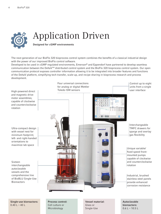

## Application Driven

Designed for cGMP environments

The next generation of our BioFlo 320 bioprocess control system combines the benefits of a classical industrial design with the power of our improved BioFlo control software.

Developed to be used in cGMP regulated environments, Emerson® and Eppendorf have partnered to develop seamless communication between the DeltaVTM distributed control system and the BioFlo 320 bioprocess control system. Our open communication protocol exposes controller information allowing it to be integrated into broader features and functions of the DeltaV platform, simplifying tech transfer, scale-up, and recipe sharing in bioprocess research and process development.



Single-use bioreactors:  $0.40$  L – 40 L

Process control: Cell culture or Microbiology

Vessel material: Glass or Single-Use

Autoclavable bioreactors:  $0.6 L - 10.5 L$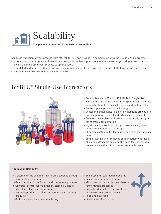

Seamless transition of your process from 400 mL to 40 L and beyond. In combination with the BioFlo 720 bioprocess control system, we designed a bioreactor control platform that supports one of the widest range of single-use solutions, allowing the scale-up of your process to up to 2,000 L.

The updated and improved BioFlo software ensures a consistent user experience across all BioFlo control systems and comes with new features to improve your process.

### BioBLU® Single-Use Bioreactors



- > Compatible with 400 mL 40 L BioBLU Single-Use Bioreactors, including the BioBLU 5p, the first single-use bioreactor to utilize the exclusive packed-bed impeller
- > Built-in optical pH sensor technology
- > Vessel and exhaust heat blanket connections provide precise temperature control and exhaust gas treatment
- > Bench-scale single-use bioreactors specifically designed for microbial fermentation
- > Rigid-walled, stirred-tank design provides many advantages over single-use bag design
- > Eliminates potential for tears, pits, and folds during installation
- > Single-layer polymer removes both uncertainty for leachable and extractable data and the need for unnecessary preventative actions, like pre-process media wash

#### Application flexibility

- > Suitable for the use in all labs, from academia through pilot-scale production
- > Batch, fed-batch, perfusion, and continuous processes
- > Universal control for mammalian, stem cell, insect, microbial, plant, and algae cultures
- > Secreted product, vaccine, and monoclonal antibody production
- > Biofuels research and manufacturing
- > Scale-up and scale-down modeling
- > Suspension or adherent cultures
- > Micro-aerobic, anaerobic, exothermic fermentation processes
- > Specialized impellers for low-shear and zero-shear process needs
- > Food and beverage
- > Fine chemical processes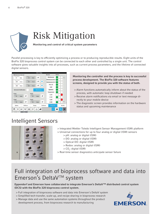

## Risk Mitigation

Monitoring and control of critical system parameters

Parallel processing is key to efficiently optimizing a process or to producing reproducible results. Eight units of the BioFlo 320 bioprocess control system can be connected to each other and controlled by a single unit. The control software gives valuable insights into all processes, such as current process parameters, and the lifetime of connected digital sensors.



Monitoring the controller and the process is key to successful process development. The BioFlo 320 software features screens, designed to provide you with the status of both.

- > Alarm functions automatically inform about the status of the process, with automatic loop shutdown if needed
- > Receive alarm notifications via email or text message directly to your mobile device
- > The diagnostic screen provides information on the hardware status and upcoming maintenance

### Intelligent Sensors



- > Integrated Mettler Toledo Intelligent Sensor Management (ISM) platform
- > Universal connections for up to four analog or digital (ISM) sensors
	- > pH: analog or digital (ISM)
	- > DO: analog or digital (ISM)
	- > Optical DO: digital (ISM)
	- > Redox: analog or digital (ISM)
	- > CO<sub>2</sub>: digital (ISM)
- > Real-time sensor diagnostics anticipate sensor failure

### Full integration of bioprocess software and data into Emerson's DeltaVTM system

#### Eppendorf and Emerson have collaborated to integrate Emerson's DeltaV™ distributed control system (DCS) with the BioFlo 320 bioprocess control system.

- > Full integration of bioprocess software and data into Emerson's DeltaV system
- > Simplified tech-transfer, scale-up, and recipe sharing in bioprocess research
- > Manage data and use the same automation systems throughout the product development process, from bioprocess research to manufacturing

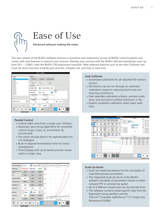

The new release of the BioFlo software ensures a consistent user experience across all BioFlo control systems and comes with new features to improve your process. Develop your process with the BioFlo 320 and seamlessly scale-up from 50 L – 2,000 L with the BioFlo 720 bioprocess controller. New software features such as the *Auto Calibrate* and *Scale Up Assist* function simplify your process, mitigate risk, and help to save time.



#### Parallel Control

- > Control eight units from a single user interface
- > Automatic gas mixing algorithms for simplified control (4-gas, 3-gas,  $O_2$  enrichment,  $N_2$ enrichment)
- > Ten-point cascade feature for sophisticated control strategies
- > Built-in elapsed fermentation timer for batch management
- > Trend display with up to twelve process values within a single view

| <b>Scale Up Strategy</b>         | P/V         | <b>Tip Speed</b>  |               | Max y Axis          | Max x Axis                          |
|----------------------------------|-------------|-------------------|---------------|---------------------|-------------------------------------|
| <b>Vessel Size</b>               | BF320 1L WJ | <b>BioBLU 10c</b> | <b>SUB250</b> | PAV<br>100.0        |                                     |
| <b>Impeller Diameter</b><br>(mm) | 60.5        | 91.8              | 200.0         | o po                |                                     |
| nP                               | 2.60        | 3.33              | 2.10          | 150.0<br>w          |                                     |
| <b>Agitation (RPM)</b>           | 125         | 102               | 93            | 120.0               |                                     |
| Tip Speed (m/s)                  | 0.40        | 0.49              | 0.98          | $\sim$              |                                     |
| P/V (W/m^3)                      | 10.14       | 10.14             | 10.14         | 90.0                |                                     |
| Volume (L)                       | 1.88        | 10.5              | 250           | 60.0                |                                     |
| <b>Gas Flow</b>                  | <b>SLPM</b> | <b>SLPH</b>       |               | 30.0                |                                     |
| Flow Rate                        | 10.00       | 55.85             | 1330          |                     |                                     |
| <b>VVM</b>                       | 5.3191      | 5.3191            | 5.3191        | 0.0<br>0.25<br>0.00 | $0 - 30$<br>1.00<br>1.25<br>1. 0.75 |
| U<br>≣                           | ⊵           |                   | 9Ĥ            |                     | 雦                                   |

#### Auto Calibrate

- > Automated calibration for all attached DO sensors at once
- > DO sensors can be run through an automatic calibration sequence reducing touch time and ensuring consistency
- > User specifies calibration scheme, process conditions, and zero-point method (electronic or  $\mathsf{N}_{2}$ )
- > System completes calibration when slope stabilizes



#### Scale Up Assist

- > Scale Up modeling software for the calculation of important process parameters
- > The integrated *Scale Up Assist* of the BioFlo software calculates all parameters based on either constant P/V or constant tip speed
- > Up to 3 different vessel sizes can be selected from
- > The software contains vessel specific data from the Eppendorf vessel portfolio and the
- Thermo<sup>™</sup> Scientific HyPerforma<sup>™</sup> 5:1 Single-Use Bioreactors (SUBs).